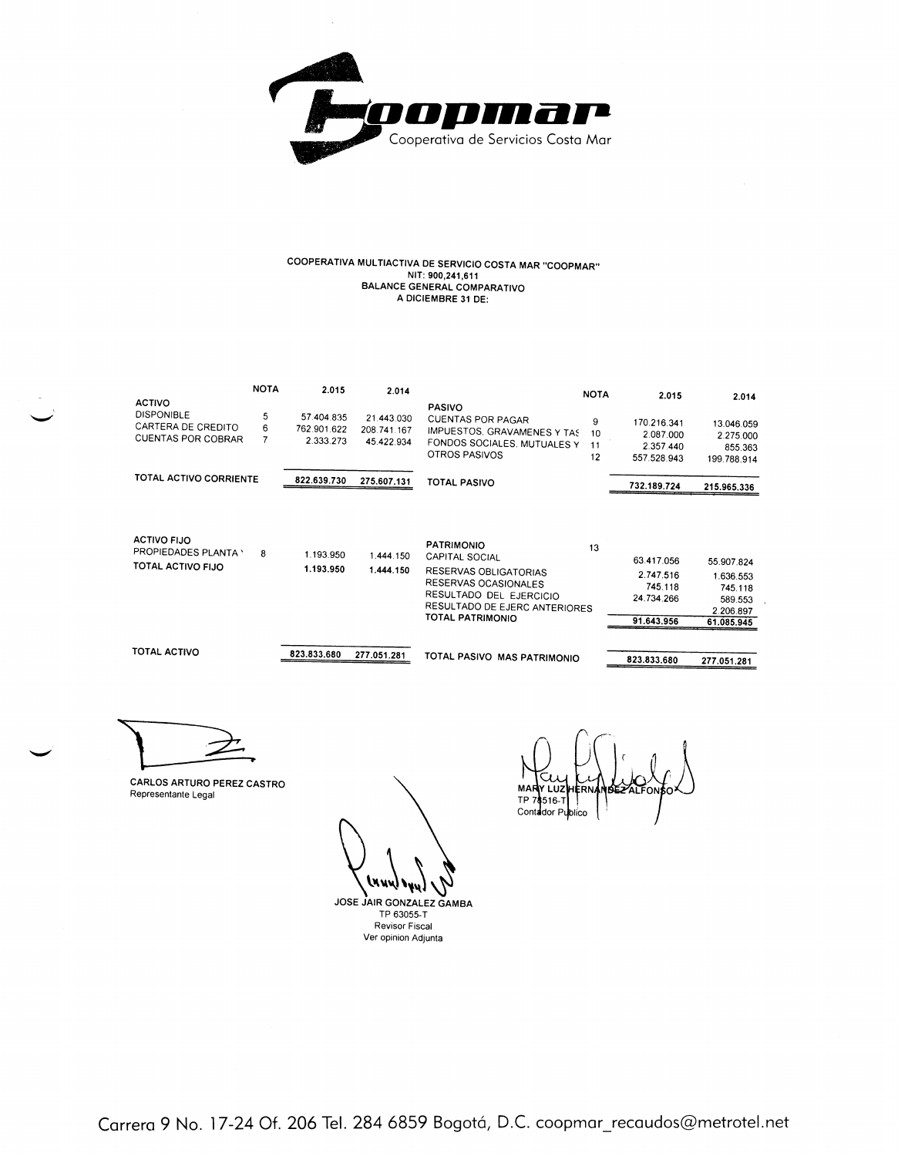

## COOPERATIVA MULTIACTIVA DE SERVICIO COSTA MAR "COOPMAR" MULTIANTIVA DE SERVINIU SUSTA INTERNATIVO A DICIEMBRE 31 DE:

|                                                                                       | <b>NOTA</b> | 2.015                                                                                                                                                                                                  | 2.014                  |                                                              | <b>NOTA</b>                                          | 2.015                                             | 2.014                  |
|---------------------------------------------------------------------------------------|-------------|--------------------------------------------------------------------------------------------------------------------------------------------------------------------------------------------------------|------------------------|--------------------------------------------------------------|------------------------------------------------------|---------------------------------------------------|------------------------|
| <b>ACTIVO</b><br><b>DISPONIBLE</b><br>CARTERA DE CREDITO<br><b>CUENTAS POR COBRAR</b> | 5<br>6      | <b>PASIVO</b><br>57.404.835<br>21.443.030<br>CUENTAS POR PAGAR<br>762.901.622<br>208 741 167<br>IMPUESTOS, GRAVAMENES Y TAS<br>2.333.273<br>45.422.934<br>FONDOS SOCIALES, MUTUALES Y<br>OTROS PASIVOS |                        | 9<br>10<br>11<br>12                                          | 170.216.341<br>2.087.000<br>2.357 440<br>557.528.943 | 13.046.059<br>2.275.000<br>855.363<br>199.788.914 |                        |
| TOTAL ACTIVO CORRIENTE                                                                |             | 822.639.730                                                                                                                                                                                            | 275.607.131            | TOTAL PASIVO                                                 |                                                      | 732.189.724                                       | 215.965.336            |
| <b>ACTIVO FIJO</b><br>PROPIEDADES PLANTA \<br>TOTAL ACTIVO FIJO                       | 8           | 1.193.950<br>1.193.950                                                                                                                                                                                 | 1.444.150<br>1.444.150 | <b>PATRIMONIO</b><br>CAPITAL SOCIAL<br>RESERVAS OBLIGATORIAS | 13                                                   | 63.417.056<br>2.747.516                           | 55.907.824<br>.636 553 |

| <b>TOTAL ACTIVO</b> | 823.833.680 | 277.051.281 | TOTAL PASIVO MAS PATRIMONIO                                                                               | 823.833.680           | 277.051.281                     |
|---------------------|-------------|-------------|-----------------------------------------------------------------------------------------------------------|-----------------------|---------------------------------|
|                     |             |             | TOTAL PATRIMONIO                                                                                          | 91.643.956            | 61.085.945                      |
|                     | 1.193.950   | 1.444.150   | RESERVAS OBLIGATORIAS<br>RESERVAS OCASIONALES<br>RESULTADO DEL EJERCICIO<br>RESULTADO DE EJERC ANTERIORES | 745.118<br>24.734.266 | 745.118<br>589.553<br>2.206.897 |
|                     |             |             |                                                                                                           | 2.747.516             | 1.636.553                       |
| TOTAL ACTIVO FIJO   |             |             | $V''$ " $H$ $H$ $V$ $V$ $H$ $H$                                                                           | 63.417.056            | 55.907.824                      |

CARLOS ARTURO PEREZ CASTRO Representante Legal

S w.

JOSE JAIR GONZALEZ GAMBA TP 63055-T Revisor Fiscal Ver opinion Adjunta

MA TP<sub>7</sub>  $516 -$ Contador Publico

Carrera 9 No. 17-24 Of. 206 Tel. 284 6859 Bogotá, D.C. coopmar\_recaudos@metrotel.net